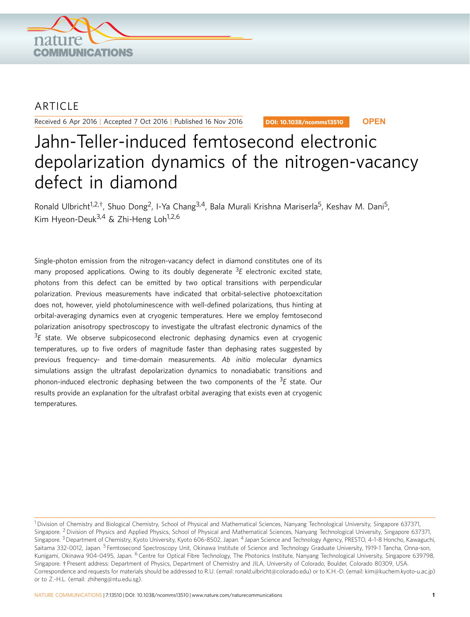

## **ARTICLE**

Received 6 Apr 2016 | Accepted 7 Oct 2016 | Published 16 Nov 2016

DOI: 10.1038/ncomms13510 **OPEN**

# Jahn-Teller-induced femtosecond electronic depolarization dynamics of the nitrogen-vacancy defect in diamond

Ronald Ulbricht<sup>1,2,†</sup>, Shuo Dong<sup>2</sup>, I-Ya Chang<sup>3,4</sup>, Bala Murali Krishna Mariserla<sup>5</sup>, Keshav M. Dani<sup>5</sup>, Kim Hyeon-Deuk<sup>3,4</sup> & Zhi-Heng Loh<sup>1,2,6</sup>

Single-photon emission from the nitrogen-vacancy defect in diamond constitutes one of its many proposed applications. Owing to its doubly degenerate <sup>3</sup>E electronic excited state, photons from this defect can be emitted by two optical transitions with perpendicular polarization. Previous measurements have indicated that orbital-selective photoexcitation does not, however, yield photoluminescence with well-defined polarizations, thus hinting at orbital-averaging dynamics even at cryogenic temperatures. Here we employ femtosecond polarization anisotropy spectroscopy to investigate the ultrafast electronic dynamics of the  ${}^{3}E$  state. We observe subpicosecond electronic dephasing dynamics even at cryogenic temperatures, up to five orders of magnitude faster than dephasing rates suggested by previous frequency- and time-domain measurements. Ab initio molecular dynamics simulations assign the ultrafast depolarization dynamics to nonadiabatic transitions and phonon-induced electronic dephasing between the two components of the <sup>3</sup>E state. Our results provide an explanation for the ultrafast orbital averaging that exists even at cryogenic temperatures.

<sup>&</sup>lt;sup>1</sup> Division of Chemistry and Biological Chemistry, School of Physical and Mathematical Sciences, Nanyang Technological University, Singapore 637371, Singapore. <sup>2</sup> Division of Physics and Applied Physics, School of Physical and Mathematical Sciences, Nanyang Technological University, Singapore 637371, Singapore. <sup>3</sup> Department of Chemistry, Kyoto University, Kyoto 606-8502, Japan. <sup>4</sup> Japan Science and Technology Agency, PRESTO, 4-1-8 Honcho, Kawaguchi, Saitama 332-0012, Japan. <sup>5</sup> Femtosecond Spectroscopy Unit, Okinawa Institute of Science and Technology Graduate University, 1919-1 Tancha, Onna-son, Kunigami, Okinawa 904-0495, Japan. <sup>6</sup> Centre for Optical Fibre Technology, The Photonics Institute, Nanyang Technological University, Singapore 639798, Singapore. <sup>+</sup> Present address: Department of Physics, Department of Chemistry and JILA, University of Colorado, Boulder, Colorado 80309, USA. Correspondence and requests for materials should be addressed to R.U. (email: ronald.ulbricht@colorado.edu) or to K.H.-D. (email: kim@kuchem.kyoto-u.ac.jp) or to Z.-H.L. (email: zhiheng@ntu.edu.sg).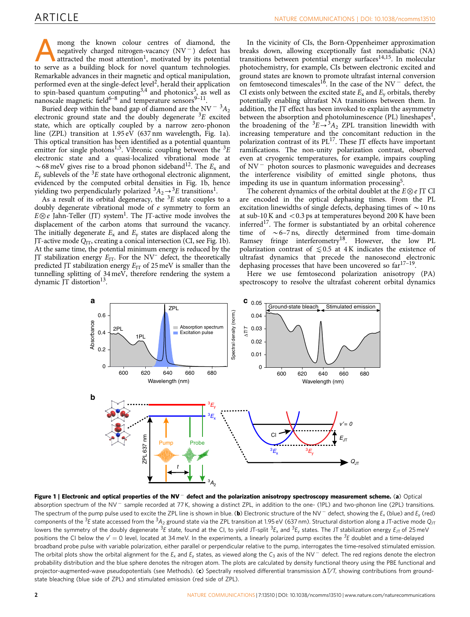A mong the known colour centres of diamond, the negatively charged nitrogen-vacancy (NV<sup>-</sup>) defect has attracted the most attention<sup>1</sup>, motivated by its potential to serve as a building block for novel quantum technologies. Remarkable advances in their magnetic and optical manipulation, performed even at the single-defect level<sup>2</sup>, herald their application to spin-based quantum computing  $3,4$  and photonics<sup>5</sup>, as well as nanoscale magnetic field<sup>6-8</sup> and temperature sensors<sup>9-11</sup>.

Buried deep within the band gap of diamond are the NV  $^{-3}A_2$ electronic ground state and the doubly degenerate  ${}^{3}E$  excited state, which are optically coupled by a narrow zero-phonon line (ZPL) transition at 1.95 eV (637 nm wavelength, Fig. 1a). This optical transition has been identified as a potential quantum emitter for single photons<sup>1,5</sup>. Vibronic coupling between the  ${}^{3}E$ electronic state and a quasi-localized vibrational mode at  $\sim$  68 meV gives rise to a broad phonon sideband<sup>12</sup>. The E<sub>x</sub> and  $E<sub>v</sub>$  sublevels of the <sup>3</sup>E state have orthogonal electronic alignment, evidenced by the computed orbital densities in Fig. 1b, hence yielding two perpendicularly polarized  ${}^3A_2 \rightarrow {}^3E$  transitions<sup>1</sup>.

As a result of its orbital degeneracy, the  ${}^{3}E$  state couples to a doubly degenerate vibrational mode of e symmetry to form an  $E \otimes e$  Jahn-Teller (JT) system<sup>1</sup>. The JT-active mode involves the displacement of the carbon atoms that surround the vacancy. The initially degenerate  $E_x$  and  $E_y$  states are displaced along the JT-active mode  $Q_{\text{JT}}$ , creating a conical intersection (CI, see Fig. 1b). At the same time, the potential minimum energy is reduced by the JT stabilization energy  $E_{\text{IT}}$ . For the NV<sup>-</sup> defect, the theoretically predicted JT stabilization energy  $E_{\text{IT}}$  of 25 meV is smaller than the tunnelling splitting of 34 meV, therefore rendering the system a dynamic JT distortion<sup>13</sup>.

In the vicinity of CIs, the Born-Oppenheimer approximation breaks down, allowing exceptionally fast nonadiabatic (NA) transitions between potential energy surfaces $14,15$ . In molecular photochemistry, for example, CIs between electronic excited and ground states are known to promote ultrafast internal conversion on femtosecond timescales<sup>16</sup>. In the case of the  $NV^-$  defect, the CI exists only between the excited state  $E_x$  and  $E_y$  orbitals, thereby potentially enabling ultrafast NA transitions between them. In addition, the JT effect has been invoked to explain the asymmetry between the absorption and photoluminescence (PL) lineshapes<sup>1</sup>, the broadening of the  ${}^3E \rightarrow {}^3A_2$  ZPL transition linewidth with increasing temperature and the concomitant reduction in the polarization contrast of its  $PL^{17}$ . These JT effects have important ramifications. The non-unity polarization contrast, observed even at cryogenic temperatures, for example, impairs coupling of NV<sup>-</sup> photon sources to plasmonic waveguides and decreases the interference visibility of emitted single photons, thus impeding its use in quantum information processing<sup>5</sup>.

The coherent dynamics of the orbital doublet at the  $E \otimes e$  JT CI are encoded in the optical dephasing times. From the PL excitation linewidths of single defects, dephasing times of  $\sim$  10 ns at sub-10 K and  $<$  0.3 ps at temperatures beyond 200 K have been inferred<sup>17</sup>. The former is substantiated by an orbital coherence time of  $\sim$  6–7 ns, directly determined from time-domain Ramsey fringe interferometry<sup>18</sup>. However, the low PL polarization contrast of  $\leq 0.5$  at 4 K indicates the existence of ultrafast dynamics that precede the nanosecond electronic dephasing processes that have been uncovered so far<sup>17-19</sup>.

Here we use femtosecond polarization anisotropy (PA) spectroscopy to resolve the ultrafast coherent orbital dynamics



Figure 1 | Electronic and optical properties of the NV<sup>-</sup> defect and the polarization anisotropy spectroscopy measurement scheme. (a) Optical absorption spectrum of the NV<sup>-</sup> sample recorded at 77 K, showing a distinct ZPL, in addition to the one- (1PL) and two-phonon line (2PL) transitions. The spectrum of the pump pulse used to excite the ZPL line is shown in blue. (**b**) Electronic structure of the NV  $^-$  defect, showing the  $E_x$  (blue) and  $E_y$  (red) components of the <sup>3</sup>E state accessed from the <sup>3</sup>A<sub>2</sub> ground state via the ZPL transition at 1.95 eV (637 nm). Structural distortion along a JT-active mode Q<sub>JT</sub> lowers the symmetry of the doubly degenerate  $^3E$  state, found at the CI, to yield JT-split  $^3E_x$  and  $^3E_y$  states. The JT stabilization energy  $E_{\rm JT}$  of 25 meV positions the CI below the  $v' = 0$  level, located at 34 meV. In the experiments, a linearly polarized pump excites the  ${}^{3}E$  doublet and a time-delayed broadband probe pulse with variable polarization, either parallel or perpendicular relative to the pump, interrogates the time-resolved stimulated emission. The orbital plots show the orbital alignment for the  $E_x$  and  $E_y$  states, as viewed along the  $C_3$  axis of the NV  $^-$  defect. The red regions denote the electron probability distribution and the blue sphere denotes the nitrogen atom. The plots are calculated by density functional theory using the PBE functional and projector-augmented-wave pseudopotentials (see Methods). (c) Spectrally resolved differential transmission  $\Delta T/T$ , showing contributions from groundstate bleaching (blue side of ZPL) and stimulated emission (red side of ZPL).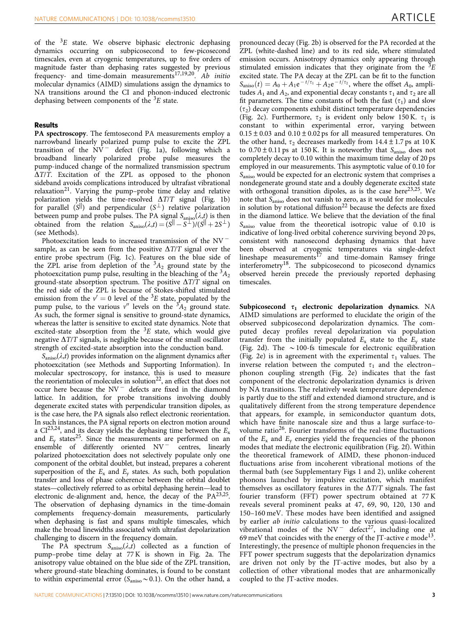of the  ${}^{3}E$  state. We observe biphasic electronic dephasing dynamics occurring on subpicosecond to few-picosecond timescales, even at cryogenic temperatures, up to five orders of magnitude faster than dephasing rates suggested by previous frequency- and time-domain measurements<sup>17,19,20</sup>. Ab initio molecular dynamics (AIMD) simulations assign the dynamics to NA transitions around the CI and phonon-induced electronic dephasing between components of the  ${}^{3}E$  state.

#### Results

PA spectroscopy. The femtosecond PA measurements employ a narrowband linearly polarized pump pulse to excite the ZPL transition of the  $\overline{NV}^-$  defect (Fig. 1a), following which a broadband linearly polarized probe pulse measures the pump-induced change of the normalized transmission spectrum  $\Delta T/T$ . Excitation of the ZPL as opposed to the phonon sideband avoids complications introduced by ultrafast vibrational  $relaxation<sup>21</sup>$ . Varying the pump–probe time delay and relative polarization yields the time-resolved  $\Delta T/T$  signal (Fig. 1b) for parallel  $(S^{||})$  and perpendicular  $(S^{\perp})$  relative polarization between pump and probe pulses. The PA signal  $S_{\text{aniso}}(\lambda,t)$  is then obtained from the relation  $S_{aniso}(\lambda,t) = (S^{||} - S^{||})(S^{||} + 2S^{||})$ (see Methods).

Photoexcitation leads to increased transmission of the  $\mathrm{NV}^$ sample, as can be seen from the positive  $\Delta T/T$  signal over the entire probe spectrum (Fig. 1c). Features on the blue side of the ZPL arise from depletion of the  ${}^{3}A_2$  ground state by the photoexcitation pump pulse, resulting in the bleaching of the  ${}^{3}A_{2}$ ground-state absorption spectrum. The positive  $\Delta T/T$  signal on the red side of the ZPL is because of Stokes-shifted stimulated emission from the  $v' = 0$  level of the <sup>3</sup>E state, populated by the pump pulse, to the various  $v''$  levels on the  ${}^3A_2$  ground state. As such, the former signal is sensitive to ground-state dynamics, whereas the latter is sensitive to excited state dynamics. Note that excited-state absorption from the  ${}^{3}E$  state, which would give negative  $\Delta T/T$  signals, is negligible because of the small oscillator strength of excited-state absorption into the conduction band.

 $S_{aniso}(\lambda,t)$  provides information on the alignment dynamics after photoexcitation (see Methods and Supporting Information). In molecular spectroscopy, for instance, this is used to measure the reorientation of molecules in solution<sup>22</sup>, an effect that does not occur here because the  $N V^-$  defects are fixed in the diamond lattice. In addition, for probe transitions involving doubly degenerate excited states with perpendicular transition dipoles, as is the case here, the PA signals also reflect electronic reorientation. In such instances, the PA signal reports on electron motion around a CI<sup>23,24</sup>, and its decay yields the dephasing time between the  $E_x$ and  $E_v$  states<sup>25</sup>. Since the measurements are performed on an ensemble of differently oriented  $N V^-$  centres, linearly polarized photoexcitation does not selectively populate only one component of the orbital doublet, but instead, prepares a coherent superposition of the  $E_x$  and  $E_y$  states. As such, both population transfer and loss of phase coherence between the orbital doublet states—collectively referred to as orbital dephasing herein—lead to electronic de-alignment and, hence, the decay of the  $PA^{23,25}$ . The observation of dephasing dynamics in the time-domain complements frequency-domain measurements, particularly when dephasing is fast and spans multiple timescales, which make the broad linewidths associated with ultrafast depolarization challenging to discern in the frequency domain.

The PA spectrum  $S_{aniso}(\lambda,t)$  collected as a function of pump–probe time delay at 77 K is shown in Fig. 2a. The anisotropy value obtained on the blue side of the ZPL transition, where ground-state bleaching dominates, is found to be constant to within experimental error ( $S_{aniso} \sim 0.1$ ). On the other hand, a

pronounced decay (Fig. 2b) is observed for the PA recorded at the ZPL (white-dashed line) and to its red side, where stimulated emission occurs. Anisotropy dynamics only appearing through stimulated emission indicates that they originate from the  ${}^{3}E$ excited state. The PA decay at the ZPL can be fit to the function  $S_{aniso}(t) = A_0 + A_1 e^{-t/\tau_1} + A_2 e^{-t/\tau_2}$ , where the offset  $A_0$ , amplitudes  $A_1$  and  $A_2$ , and exponential decay constants  $\tau_1$  and  $\tau_2$  are all fit parameters. The time constants of both the fast  $(\tau_1)$  and slow  $(\tau_2)$  decay components exhibit distinct temperature dependencies (Fig. 2c). Furthermore,  $\tau_2$  is evident only below 150 K.  $\tau_1$  is constant to within experimental error, varying between  $0.15 \pm 0.03$  and  $0.10 \pm 0.02$  ps for all measured temperatures. On the other hand,  $\tau_2$  decreases markedly from 14.4  $\pm$  1.7 ps at 10 K to  $0.70 \pm 0.11$  ps at 150 K. It is noteworthy that  $S_{aniso}$  does not completely decay to 0.10 within the maximum time delay of 20 ps employed in our measurements. This asymptotic value of 0.10 for Saniso would be expected for an electronic system that comprises a nondegenerate ground state and a doubly degenerate excited state with orthogonal transition dipoles, as is the case here<sup>23,25</sup>. We note that Saniso does not vanish to zero, as it would for molecules in solution by rotational diffusion<sup>22</sup> because the defects are fixed in the diamond lattice. We believe that the deviation of the final  $S_{aniso}$  value from the theoretical isotropic value of 0.10 is indicative of long-lived orbital coherence surviving beyond 20 ps, consistent with nanosecond dephasing dynamics that have been observed at cryogenic temperatures via single-defect lineshape measurements $^{17}$  and time-domain Ramsey fringe interferometry<sup>18</sup>. The subpicosecond to picosecond dynamics observed herein precede the previously reported dephasing timescales.

Subpicosecond  $\tau_1$  electronic depolarization dynamics. NA AIMD simulations are performed to elucidate the origin of the observed subpicosecond depolarization dynamics. The computed decay profiles reveal depolarization via population transfer from the initially populated  $E_x$  state to the  $E_y$  state (Fig. 2d). The  $\sim$  100-fs timescale for electronic equilibration (Fig. 2e) is in agreement with the experimental  $\tau_1$  values. The inverse relation between the computed  $\tau_1$  and the electron– phonon coupling strength (Fig. 2e) indicates that the fast component of the electronic depolarization dynamics is driven by NA transitions. The relatively weak temperature dependence is partly due to the stiff and extended diamond structure, and is qualitatively different from the strong temperature dependence that appears, for example, in semiconductor quantum dots, which have finite nanoscale size and thus a large surface-tovolume ratio<sup>26</sup>. Fourier transforms of the real-time fluctuations of the  $E_x$  and  $E_y$  energies yield the frequencies of the phonon modes that mediate the electronic equilibration (Fig. 2f). Within the theoretical framework of AIMD, these phonon-induced fluctuations arise from incoherent vibrational motions of the thermal bath (see Supplementary Figs 1 and 2), unlike coherent phonons launched by impulsive excitation, which manifest themselves as oscillatory features in the  $\Delta T/T$  signals. The fast fourier transform (FFT) power spectrum obtained at 77 K reveals several prominent peaks at 47, 69, 90, 120, 130 and 150–160 meV. These modes have been identified and assigned by earlier ab initio calculations to the various quasi-localized vibrational modes of the  $NV^-$  defect<sup>27</sup>, including one at 69 meV that coincides with the energy of the JT-active  $e$  mode<sup>13</sup>. Interestingly, the presence of multiple phonon frequencies in the FFT power spectrum suggests that the depolarization dynamics are driven not only by the JT-active modes, but also by a collection of other vibrational modes that are anharmonically coupled to the JT-active modes.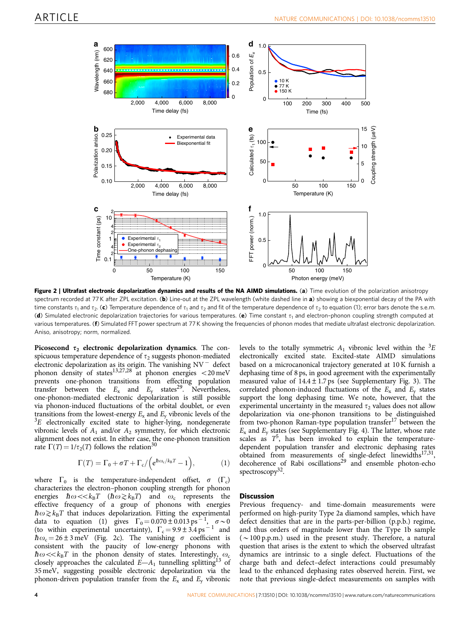

Figure 2 | Ultrafast electronic depolarization dynamics and results of the NA AIMD simulations. (a) Time evolution of the polarization anisotropy spectrum recorded at 77 K after ZPL excitation. (b) Line-out at the ZPL wavelength (white dashed line in a) showing a biexponential decay of the PA with time constants  $\tau_1$  and  $\tau_2$ . (c) Temperature dependence of  $\tau_1$  and  $\tau_2$  and fit of the temperature dependence of  $\tau_2$  to equation (1); error bars denote the s.e.m. (d) Simulated electronic depolarization trajectories for various temperatures. (e) Time constant  $\tau_1$  and electron-phonon coupling strength computed at various temperatures. (f) Simulated FFT power spectrum at 77 K showing the frequencies of phonon modes that mediate ultrafast electronic depolarization. Aniso, anisotropy; norm, normalized.

Picosecond  $\tau_2$  electronic depolarization dynamics. The conspicuous temperature dependence of  $\tau_2$  suggests phonon-mediated electronic depolarization as its origin. The vanishing  $N V^-$  defect phonon density of states<sup>13,27,28</sup> at phonon energies  $<$ 20 meV prevents one-phonon transitions from effecting population transfer between the  $E_x$  and  $E_y$  states<sup>29</sup>. Nevertheless, one-phonon-mediated electronic depolarization is still possible via phonon-induced fluctuations of the orbital doublet, or even transitions from the lowest-energy  $E_x$  and  $E_y$  vibronic levels of the  ${}^{3}E$  electronically excited state to higher-lying, nondegenerate vibronic levels of  $A_1$  and/or  $A_2$  symmetry, for which electronic alignment does not exist. In either case, the one-phonon transition rate  $\Gamma(T) = 1/\tau_2(T)$  follows the relation<sup>30</sup>

$$
\Gamma(T) = \Gamma_0 + \sigma T + \Gamma_c / \left( e^{\hbar \omega_c / k_B T} - 1 \right), \tag{1}
$$

where  $\Gamma_0$  is the temperature-independent offset,  $\sigma$  ( $\Gamma_c$ ) characterizes the electron–phonon coupling strength for phonon energies  $\hbar \omega \ll k_B T$  ( $\hbar \omega \gtrsim k_B T$ ) and  $\omega_c$  represents the effective frequency of a group of phonons with energies  $\hbar\omega\gtrsim k_BT$  that induces depolarization. Fitting the experimental data to equation (1) gives  $\Gamma_0 = 0.070 \pm 0.013 \text{ ps}^{-1}$  $\sigma \sim 0$ (to within experimental uncertainty),  $\Gamma_c = 9.9 \pm 3.4 \text{ ps}^{-1}$  and  $\hbar \omega_c = 26 \pm 3$  meV (Fig. 2c). The vanishing  $\sigma$  coefficient is  $mc<sub>c</sub> = 2023$  and  $\overline{c}$  and  $\overline{c}$  and  $\overline{c}$  low-energy phonons with  $\hbar \omega \ll k_B T$  in the phonon density of states. Interestingly,  $\omega_c$ closely approaches the calculated  $E-A_1$  tunnelling splitting<sup>13</sup> of 35 meV, suggesting possible electronic depolarization via the phonon-driven population transfer from the  $E_x$  and  $E_y$  vibronic

levels to the totally symmetric  $A_1$  vibronic level within the  ${}^{3}E$ electronically excited state. Excited-state AIMD simulations based on a microcanonical trajectory generated at 10 K furnish a dephasing time of 8 ps, in good agreement with the experimentally measured value of  $14.4 \pm 1.7$  ps (see Supplementary Fig. 3). The correlated phonon-induced fluctuations of the  $E_x$  and  $E_y$  states support the long dephasing time. We note, however, that the experimental uncertainty in the measured  $\tau_2$  values does not allow depolarization via one-phonon transitions to be distinguished from two-phonon Raman-type population transfer<sup>17</sup> between the  $E_x$  and  $E_y$  states (see Supplementary Fig. 4). The latter, whose rate scales as  $T^5$ , has been invoked to explain the temperaturedependent population transfer and electronic dephasing rates obtained from measurements of single-defect linewidths<sup>17,31</sup>, decoherence of Rabi oscillations<sup>29</sup> and ensemble photon-echo spectroscopy<sup>32</sup>.

### **Discussion**

Previous frequency- and time-domain measurements were performed on high-purity Type 2a diamond samples, which have defect densities that are in the parts-per-billion (p.p.b.) regime, and thus orders of magnitude lower than the Type 1b sample  $({\sim}100$  p.p.m.) used in the present study. Therefore, a natural question that arises is the extent to which the observed ultrafast dynamics are intrinsic to a single defect. Fluctuations of the charge bath and defect–defect interactions could presumably lead to the enhanced dephasing rates observed herein. First, we note that previous single-defect measurements on samples with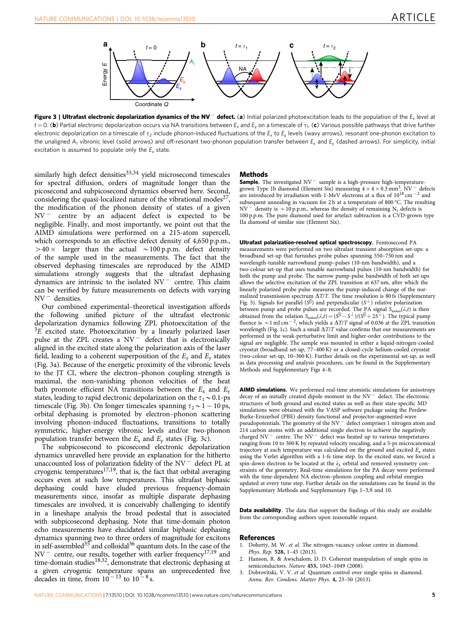

Figure 3 | Ultrafast electronic depolarization dynamics of the NV<sup>-</sup> defect. (a) Initial polarized photoexcitation leads to the population of the  $E_x$  level at  $t = 0$ . (b) Partial electronic depolarization occurs via NA transitions between  $E_x$  and  $E_y$  on a timescale of  $\tau_1$ . (c) Various possible pathways that drive further electronic depolarization on a timescale of  $\tau_2$  include phonon-induced fluctuations of the  $E_x$  to  $E_y$  levels (wavy arrows), resonant one-phonon excitation to the unaligned  $A_1$  vibronic level (solid arrows) and off-resonant two-phonon population transfer between  $E_x$  and  $E_y$  (dashed arrows). For simplicity, initial excitation is assumed to populate only the  $E<sub>v</sub>$  state.

similarly high defect densities $33,34$  yield microsecond timescales for spectral diffusion, orders of magnitude longer than the picosecond and subpicosecond dynamics observed here. Second, considering the quasi-localized nature of the vibrational modes $^{27}$ , the modification of the phonon density of states of a given NV<sup>-</sup> centre by an adjacent defect is expected to be negligible. Finally, and most importantly, we point out that the AIMD simulations were performed on a 215-atom supercell, which corresponds to an effective defect density of 4,650 p.p.m.,  $>40 \times$  larger than the actual  $\sim$  100 p.p.m. defect density of the sample used in the measurements. The fact that the observed dephasing timescales are reproduced by the AIMD simulations strongly suggests that the ultrafast dephasing dynamics are intrinsic to the isolated  $N V^-$  centre. This claim can be verified by future measurements on defects with varying  $NV^-$  densities.

Our combined experimental–theoretical investigation affords the following unified picture of the ultrafast electronic depolarization dynamics following ZPL photoexcitation of the  ${}^{3}E$  excited state. Photoexcitation by a linearly polarized laser pulse at the ZPL creates a  $NV^-$  defect that is electronically aligned in the excited state along the polarization axis of the laser field, leading to a coherent superposition of the  $E_x$  and  $E_y$  states (Fig. 3a). Because of the energetic proximity of the vibronic levels to the JT CI, where the electron–phonon coupling strength is maximal, the non-vanishing phonon velocities of the heat bath promote efficient NA transitions between the  $E_x$  and  $E_y$ states, leading to rapid electronic depolarization on the  $\tau_1 \sim 0.1$ -ps timescale (Fig. 3b). On longer timescales spanning  $\tau_2 \sim 1 - 10$  ps, orbital dephasing is promoted by electron–phonon scattering involving phonon-induced fluctuations, transitions to totally symmetric, higher-energy vibronic levels and/or two-phonon population transfer between the  $E_x$  and  $E_y$  states (Fig. 3c).

The subpicosecond to picosecond electronic depolarization dynamics unravelled here provide an explanation for the hitherto unaccounted loss of polarization fidelity of the NV<sup>-</sup> defect PL at cryogenic temperatures<sup>17,19</sup>, that is, the fact that orbital averaging occurs even at such low temperatures. This ultrafast biphasic dephasing could have eluded previous frequency-domain measurements since, insofar as multiple disparate dephasing timescales are involved, it is conceivably challenging to identify in a lineshape analysis the broad pedestal that is associated with subpicosecond dephasing. Note that time-domain photon echo measurements have elucidated similar biphasic dephasing dynamics spanning two to three orders of magnitude for excitons in self-assembled<sup>35</sup> and colloidal<sup>36</sup> quantum dots. In the case of the NV<sup>-</sup> centre, our results, together with earlier frequency<sup>17,19</sup> and time-domain studies<sup>18,32</sup>, demonstrate that electronic dephasing at a given cryogenic temperature spans an unprecedented five decades in time, from  $10^{-13}$  to  $10^{-8}$  s.

#### Methods

**Sample.** The investigated  $NV^-$  sample is a high-pressure high-temperaturegrown Type 1b diamond (Element Six) measuring  $4 \times 4 \times 0.3$  mm<sup>3</sup>. NV<sup>-</sup> defects are introduced by irradiation with 1-MeV electrons at a flux of  $10^{18}$  cm<sup>-2</sup> and subsequent annealing in vacuum for 2 h at a temperature of 800 °C. The resulting  $NV$ <sup>-</sup> density is  $\sim$  10 p.p.m., whereas the density of remaining N<sub>s</sub> defects is 100 p.p.m. The pure diamond used for artefact subtraction is a CVD-grown type IIa diamond of similar size (Element Six).

Ultrafast polarization-resolved optical spectroscopy. Femtosecond PA measurements were performed on two ultrafast transient absorption set-ups: a broadband set-up that furnishes probe pulses spanning 550–750 nm and wavelength-tunable narrowband pump–pulses (10-nm bandwidth), and a two-colour set-up that uses tunable narrowband pulses (10-nm bandwidth) for both the pump and probe. The narrow pump-pulse bandwidth of both set-ups allows the selective excitation of the ZPL transition at 637 nm, after which the linearly polarized probe pulse measures the pump-induced change of the normalized transmission spectrum  $\Delta T/T$ . The time resolution is 80 fs (Supplementary Fig. 5). Signals for parallel ( $S^{||}$ ) and perpendicular ( $S^{\perp}$ ) relative polarization between pump and probe pulses are recorded. The PA signal  $S_{aniso}(\lambda,t)$  is then obtained from the relation  $S_{aniso}(\lambda,t) = (S^{||} - S^{\perp})/(S^{||} + 2S^{\perp})$ . The typical pump fluence is  $\sim$  1 mJ cm<sup>-2</sup>, which yields a  $\Delta T/T$  signal of 0.036 at the ZPL transition wavelength (Fig. 1c). Such a small  $\Delta T/T$  value confirms that our measurements are performed in the weak-perturbative limit and higher-order contributions to the signal are negligible. The sample was mounted in either a liquid-nitrogen-cooled cryostat (broadband set-up, 77–400 K) or a closed-cycle helium-cooled cryostat (two-colour set-up, 10–300 K). Further details on the experimental set-up, as well as data processing and analysis procedures, can be found in the Supplementary Methods and Supplementary Figs 4–8.

AIMD simulations. We performed real-time atomistic simulations for anisotropy decay of an initially created dipole moment in the NV<sup>-</sup> defect. The electronic structures of both ground and excited states as well as their state-specific MD simulations were obtained with the VASP software package using the Perdew-Burke-Ernzerhof (PBE) density functional and projector-augmented-wave pseudopotentials. The geometry of the  $N V^-$  defect comprises 1 nitrogen atom and 214 carbon atoms with an additional single electron to achieve the negatively charged NV<sup>-</sup> centre. The NV<sup>-</sup> defect was heated up to various temperatures ranging from 10 to 300 K by repeated velocity rescaling, and a 5-ps microcanonical trajectory at each temperature was calculated on the ground and excited  $E_x$  states using the Verlet algorithm with a 1-fs time step. In the excited state, we forced a spin-down electron to be located at the  $\bar{e}_x$  orbital and removed symmetry constraints of the geometry. Real-time simulations for the PA decay were performed with the time-dependent NA electron–phonon coupling and orbital energies updated at every time step. Further details on the simulations can be found in the Supplementary Methods and Supplementary Figs 1–3,9 and 10.

Data availability. The data that support the findings of this study are available from the corresponding authors upon reasonable request.

#### References

- Doherty, M. W. et al. The nitrogen-vacancy colour centre in diamond. Phys. Rep. 528, 1–45 (2013).
- 2. Hanson, R. & Awschalom, D. D. Coherent manipulation of single spins in semiconductors. Nature 453, 1043–1049 (2008).
- 3. Dobrovitski, V. V. et al. Quantum control over single spins in diamond. Annu. Rev. Condens. Matter Phys. 4, 23–50 (2013).